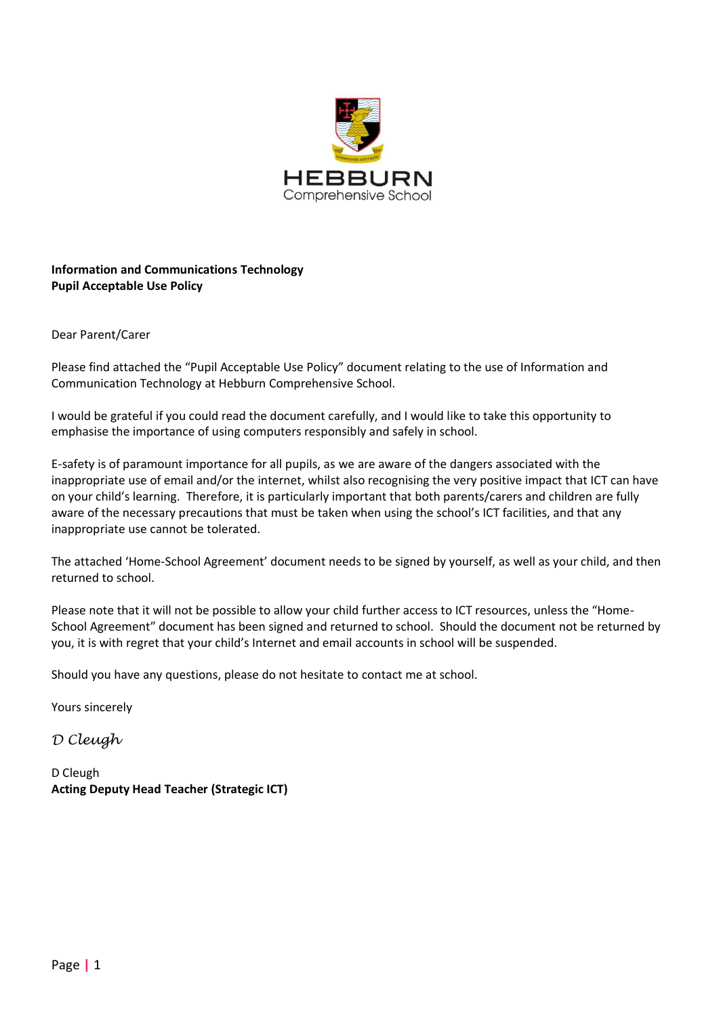

# **Information and Communications Technology Pupil Acceptable Use Policy**

## Dear Parent/Carer

Please find attached the "Pupil Acceptable Use Policy" document relating to the use of Information and Communication Technology at Hebburn Comprehensive School.

I would be grateful if you could read the document carefully, and I would like to take this opportunity to emphasise the importance of using computers responsibly and safely in school.

E-safety is of paramount importance for all pupils, as we are aware of the dangers associated with the inappropriate use of email and/or the internet, whilst also recognising the very positive impact that ICT can have on your child's learning. Therefore, it is particularly important that both parents/carers and children are fully aware of the necessary precautions that must be taken when using the school's ICT facilities, and that any inappropriate use cannot be tolerated.

The attached 'Home-School Agreement' document needs to be signed by yourself, as well as your child, and then returned to school.

Please note that it will not be possible to allow your child further access to ICT resources, unless the "Home-School Agreement" document has been signed and returned to school. Should the document not be returned by you, it is with regret that your child's Internet and email accounts in school will be suspended.

Should you have any questions, please do not hesitate to contact me at school.

Yours sincerely

*D Cleugh*

D Cleugh **Acting Deputy Head Teacher (Strategic ICT)**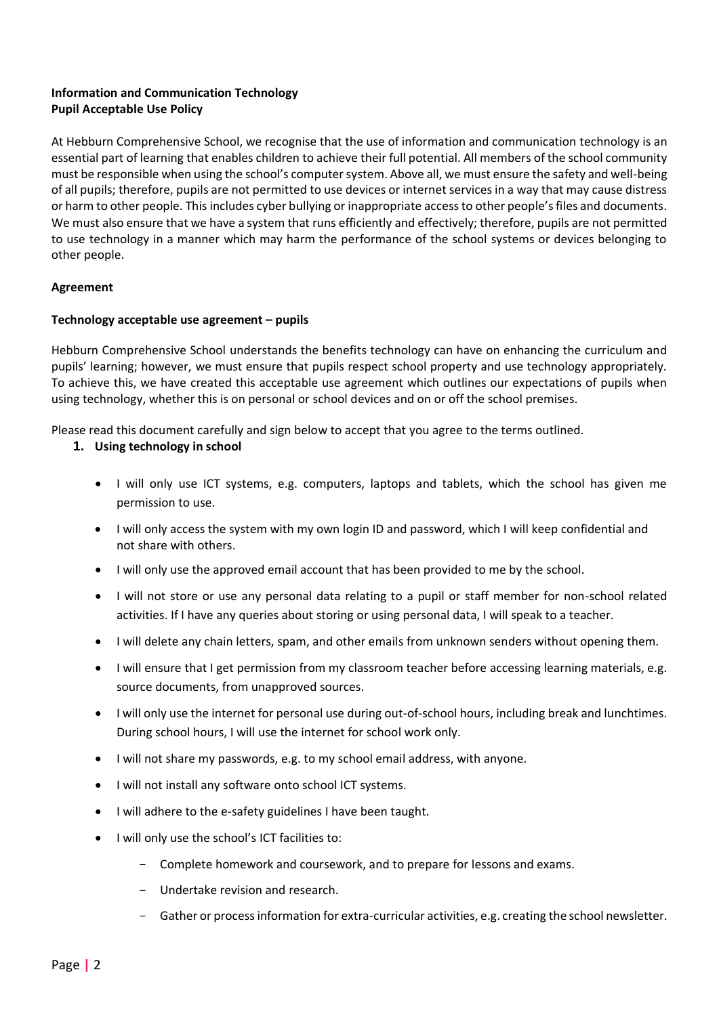# **Information and Communication Technology Pupil Acceptable Use Policy**

At Hebburn Comprehensive School, we recognise that the use of information and communication technology is an essential part of learning that enables children to achieve their full potential. All members of the school community must be responsible when using the school's computer system. Above all, we must ensure the safety and well-being of all pupils; therefore, pupils are not permitted to use devices or internet services in a way that may cause distress or harm to other people. This includes cyber bullying or inappropriate access to other people's files and documents. We must also ensure that we have a system that runs efficiently and effectively; therefore, pupils are not permitted to use technology in a manner which may harm the performance of the school systems or devices belonging to other people.

## **Agreement**

## **Technology acceptable use agreement – pupils**

Hebburn Comprehensive School understands the benefits technology can have on enhancing the curriculum and pupils' learning; however, we must ensure that pupils respect school property and use technology appropriately. To achieve this, we have created this acceptable use agreement which outlines our expectations of pupils when using technology, whether this is on personal or school devices and on or off the school premises.

Please read this document carefully and sign below to accept that you agree to the terms outlined.

- **1. Using technology in school** 
	- I will only use ICT systems, e.g. computers, laptops and tablets, which the school has given me permission to use.
	- I will only access the system with my own login ID and password, which I will keep confidential and not share with others.
	- I will only use the approved email account that has been provided to me by the school.
	- I will not store or use any personal data relating to a pupil or staff member for non-school related activities. If I have any queries about storing or using personal data, I will speak to a teacher.
	- I will delete any chain letters, spam, and other emails from unknown senders without opening them.
	- I will ensure that I get permission from my classroom teacher before accessing learning materials, e.g. source documents, from unapproved sources.
	- I will only use the internet for personal use during out-of-school hours, including break and lunchtimes. During school hours, I will use the internet for school work only.
	- I will not share my passwords, e.g. to my school email address, with anyone.
	- I will not install any software onto school ICT systems.
	- I will adhere to the e-safety guidelines I have been taught.
	- I will only use the school's ICT facilities to:
		- Complete homework and coursework, and to prepare for lessons and exams.
		- Undertake revision and research.
		- Gather or process information for extra-curricular activities, e.g. creating the school newsletter.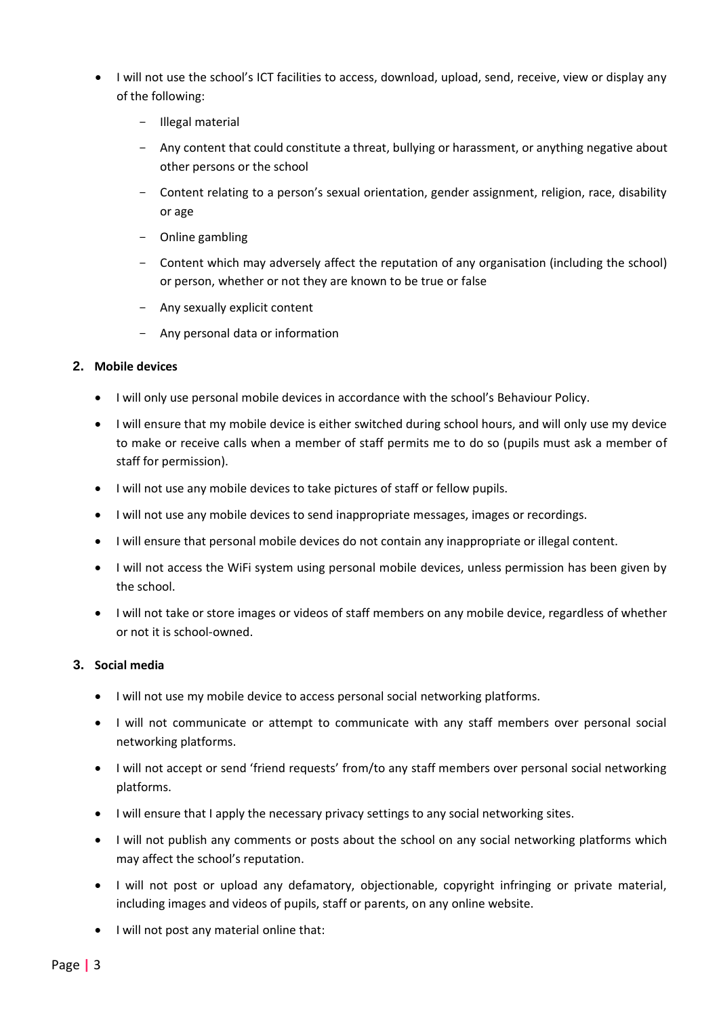- I will not use the school's ICT facilities to access, download, upload, send, receive, view or display any of the following:
	- Illegal material
	- Any content that could constitute a threat, bullying or harassment, or anything negative about other persons or the school
	- Content relating to a person's sexual orientation, gender assignment, religion, race, disability or age
	- Online gambling
	- Content which may adversely affect the reputation of any organisation (including the school) or person, whether or not they are known to be true or false
	- Any sexually explicit content
	- Any personal data or information

## **2. Mobile devices**

- I will only use personal mobile devices in accordance with the school's Behaviour Policy.
- I will ensure that my mobile device is either switched during school hours, and will only use my device to make or receive calls when a member of staff permits me to do so (pupils must ask a member of staff for permission).
- I will not use any mobile devices to take pictures of staff or fellow pupils.
- I will not use any mobile devices to send inappropriate messages, images or recordings.
- I will ensure that personal mobile devices do not contain any inappropriate or illegal content.
- I will not access the WiFi system using personal mobile devices, unless permission has been given by the school.
- I will not take or store images or videos of staff members on any mobile device, regardless of whether or not it is school-owned.

#### **3. Social media**

- I will not use my mobile device to access personal social networking platforms.
- I will not communicate or attempt to communicate with any staff members over personal social networking platforms.
- I will not accept or send 'friend requests' from/to any staff members over personal social networking platforms.
- I will ensure that I apply the necessary privacy settings to any social networking sites.
- I will not publish any comments or posts about the school on any social networking platforms which may affect the school's reputation.
- I will not post or upload any defamatory, objectionable, copyright infringing or private material, including images and videos of pupils, staff or parents, on any online website.
- I will not post any material online that: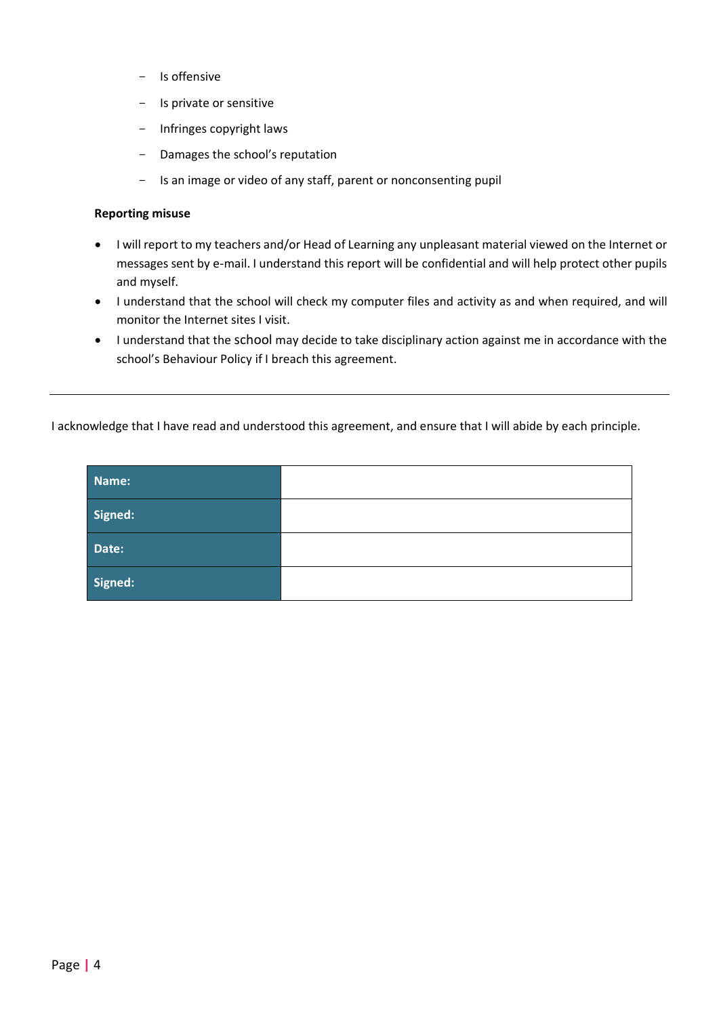- Is offensive
- Is private or sensitive
- Infringes copyright laws
- Damages the school's reputation
- Is an image or video of any staff, parent or nonconsenting pupil

#### **Reporting misuse**

- I will report to my teachers and/or Head of Learning any unpleasant material viewed on the Internet or messages sent by e-mail. I understand this report will be confidential and will help protect other pupils and myself.
- I understand that the school will check my computer files and activity as and when required, and will monitor the Internet sites I visit.
- I understand that the school may decide to take disciplinary action against me in accordance with the school's Behaviour Policy if I breach this agreement.

I acknowledge that I have read and understood this agreement, and ensure that I will abide by each principle.

| Name:   |  |
|---------|--|
| Signed: |  |
| Date:   |  |
| Signed: |  |